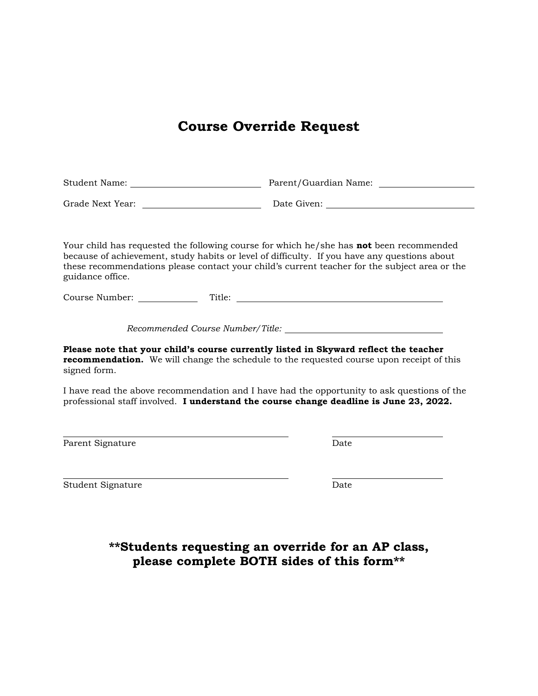## **Course Override Request**

| Student Name:    | Parent/Guardian Name: |  |
|------------------|-----------------------|--|
| Grade Next Year: | Date Given:           |  |

Your child has requested the following course for which he/she has **not** been recommended because of achievement, study habits or level of difficulty. If you have any questions about these recommendations please contact your child's current teacher for the subject area or the guidance office.

Course Number: Title:

*Recommended Course Number/Title:*

**Please note that your child's course currently listed in Skyward reflect the teacher recommendation.** We will change the schedule to the requested course upon receipt of this signed form.

I have read the above recommendation and I have had the opportunity to ask questions of the professional staff involved. **I understand the course change deadline is June 23, 2022.**

Parent Signature Date

Student Signature Date

**\*\*Students requesting an override for an AP class, please complete BOTH sides of this form\*\***